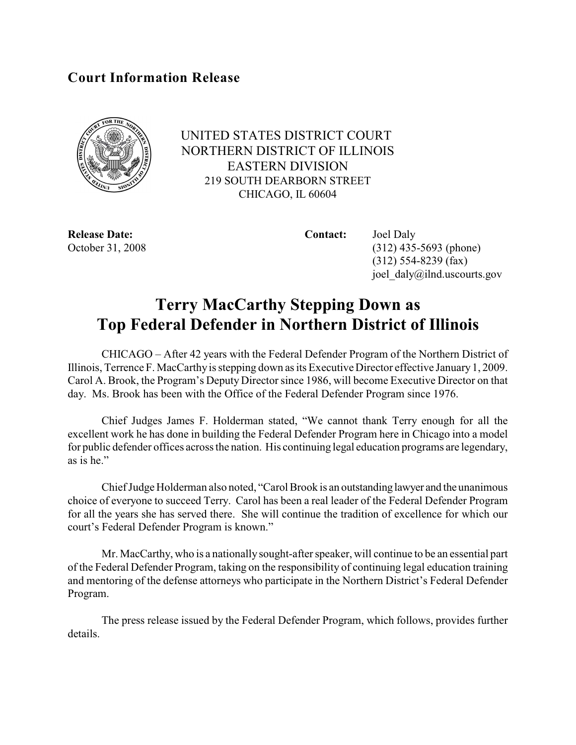## **Court Information Release**



UNITED STATES DISTRICT COURT NORTHERN DISTRICT OF ILLINOIS EASTERN DIVISION 219 SOUTH DEARBORN STREET CHICAGO, IL 60604

**Release Date: Contact:** Joel Daly

October 31, 2008 (312) 435-5693 (phone) (312) 554-8239 (fax) joel\_daly@ilnd.uscourts.gov

## **Terry MacCarthy Stepping Down as Top Federal Defender in Northern District of Illinois**

CHICAGO – After 42 years with the Federal Defender Program of the Northern District of Illinois, Terrence F. MacCarthy is stepping down as its Executive Director effective January 1, 2009. Carol A. Brook, the Program's Deputy Director since 1986, will become Executive Director on that day. Ms. Brook has been with the Office of the Federal Defender Program since 1976.

Chief Judges James F. Holderman stated, "We cannot thank Terry enough for all the excellent work he has done in building the Federal Defender Program here in Chicago into a model for public defender offices across the nation. His continuing legal education programs are legendary, as is he."

Chief Judge Holderman also noted, "Carol Brook is an outstanding lawyer and the unanimous choice of everyone to succeed Terry. Carol has been a real leader of the Federal Defender Program for all the years she has served there. She will continue the tradition of excellence for which our court's Federal Defender Program is known."

Mr. MacCarthy, who is a nationally sought-after speaker, will continue to be an essential part of the Federal Defender Program, taking on the responsibility of continuing legal education training and mentoring of the defense attorneys who participate in the Northern District's Federal Defender Program.

The press release issued by the Federal Defender Program, which follows, provides further details.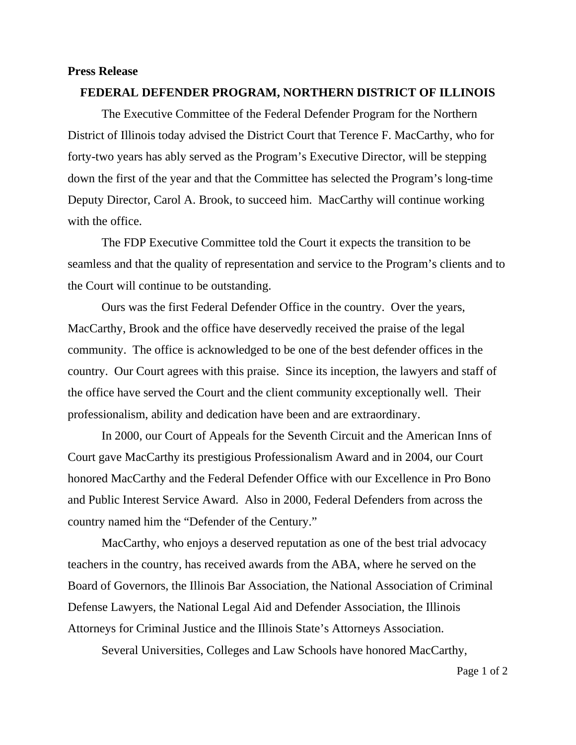## **Press Release**

## **FEDERAL DEFENDER PROGRAM, NORTHERN DISTRICT OF ILLINOIS**

 The Executive Committee of the Federal Defender Program for the Northern District of Illinois today advised the District Court that Terence F. MacCarthy, who for forty-two years has ably served as the Program's Executive Director, will be stepping down the first of the year and that the Committee has selected the Program's long-time Deputy Director, Carol A. Brook, to succeed him. MacCarthy will continue working with the office.

 The FDP Executive Committee told the Court it expects the transition to be seamless and that the quality of representation and service to the Program's clients and to the Court will continue to be outstanding.

 Ours was the first Federal Defender Office in the country. Over the years, MacCarthy, Brook and the office have deservedly received the praise of the legal community. The office is acknowledged to be one of the best defender offices in the country. Our Court agrees with this praise. Since its inception, the lawyers and staff of the office have served the Court and the client community exceptionally well. Their professionalism, ability and dedication have been and are extraordinary.

 In 2000, our Court of Appeals for the Seventh Circuit and the American Inns of Court gave MacCarthy its prestigious Professionalism Award and in 2004, our Court honored MacCarthy and the Federal Defender Office with our Excellence in Pro Bono and Public Interest Service Award. Also in 2000, Federal Defenders from across the country named him the "Defender of the Century."

 MacCarthy, who enjoys a deserved reputation as one of the best trial advocacy teachers in the country, has received awards from the ABA, where he served on the Board of Governors, the Illinois Bar Association, the National Association of Criminal Defense Lawyers, the National Legal Aid and Defender Association, the Illinois Attorneys for Criminal Justice and the Illinois State's Attorneys Association.

Several Universities, Colleges and Law Schools have honored MacCarthy,